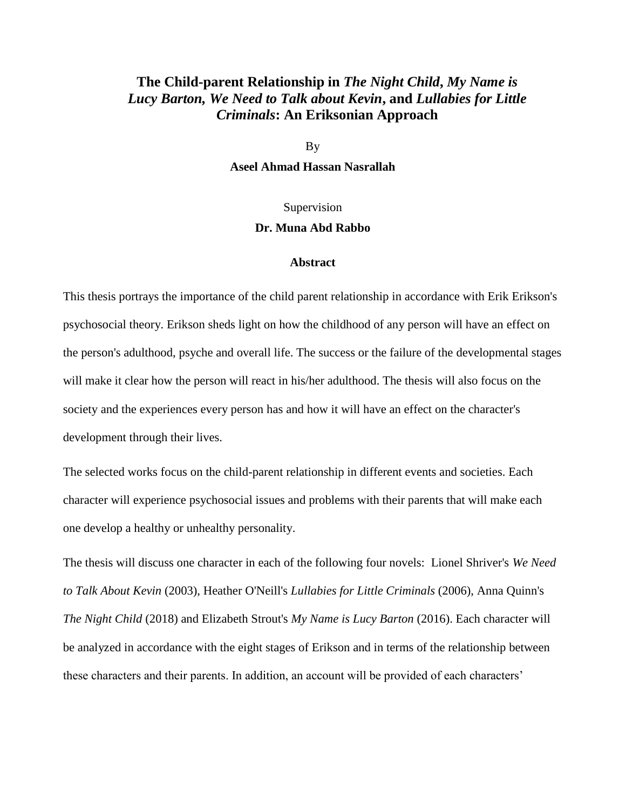## **The Child-parent Relationship in** *The Night Child***,** *My Name is Lucy Barton, We Need to Talk about Kevin***, and** *Lullabies for Little Criminals***: An Eriksonian Approach**

By

**Aseel Ahmad Hassan Nasrallah**

## Supervision

## **Dr. Muna Abd Rabbo**

## **Abstract**

This thesis portrays the importance of the child parent relationship in accordance with Erik Erikson's psychosocial theory. Erikson sheds light on how the childhood of any person will have an effect on the person's adulthood, psyche and overall life. The success or the failure of the developmental stages will make it clear how the person will react in his/her adulthood. The thesis will also focus on the society and the experiences every person has and how it will have an effect on the character's development through their lives.

The selected works focus on the child-parent relationship in different events and societies. Each character will experience psychosocial issues and problems with their parents that will make each one develop a healthy or unhealthy personality.

The thesis will discuss one character in each of the following four novels: Lionel Shriver's *We Need to Talk About Kevin* (2003), Heather O'Neill's *Lullabies for Little Criminals* (2006), Anna Quinn's *The Night Child* (2018) and Elizabeth Strout's *My Name is Lucy Barton* (2016). Each character will be analyzed in accordance with the eight stages of Erikson and in terms of the relationship between these characters and their parents. In addition, an account will be provided of each characters'